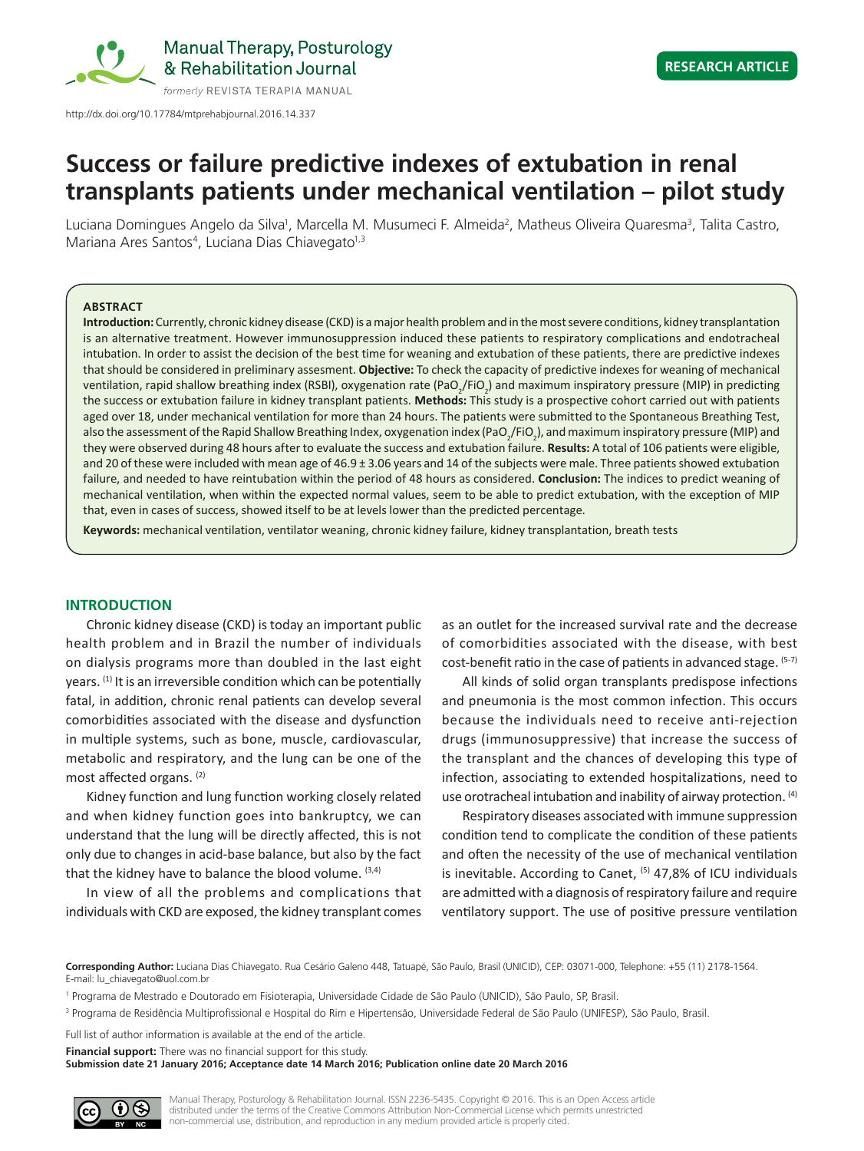

http://dx.doi.org/10.17784/mtprehabjournal.2016.14.337

## **Research Article**

# **Success or failure predictive indexes of extubation in renal transplants patients under mechanical ventilation – pilot study**

Luciana Domingues Angelo da Silva<sup>1</sup>, Marcella M. Musumeci F. Almeida<sup>2</sup>, Matheus Oliveira Quaresma<sup>3</sup>, Talita Castro, Mariana Ares Santos<sup>4</sup>, Luciana Dias Chiavegato<sup>1,3</sup>

### **ABSTRACT**

**Introduction:** Currently, chronic kidney disease (CKD) is a major health problem and in the most severe conditions, kidney transplantation is an alternative treatment. However immunosuppression induced these patients to respiratory complications and endotracheal intubation. In order to assist the decision of the best time for weaning and extubation of these patients, there are predictive indexes that should be considered in preliminary assesment. **Objective:** To check the capacity of predictive indexes for weaning of mechanical ventilation, rapid shallow breathing index (RSBI), oxygenation rate (PaO<sub>2</sub>/FiO<sub>2</sub>) and maximum inspiratory pressure (MIP) in predicting the success or extubation failure in kidney transplant patients. **Methods:** This study is a prospective cohort carried out with patients aged over 18, under mechanical ventilation for more than 24 hours. The patients were submitted to the Spontaneous Breathing Test, also the assessment of the Rapid Shallow Breathing Index, oxygenation index (PaO<sub>2</sub>/FiO<sub>2</sub>), and maximum inspiratory pressure (MIP) and they were observed during 48 hours after to evaluate the success and extubation failure. **Results:** A total of 106 patients were eligible, and 20 of these were included with mean age of 46.9  $\pm$  3.06 years and 14 of the subjects were male. Three patients showed extubation failure, and needed to have reintubation within the period of 48 hours as considered. **Conclusion:** The indices to predict weaning of mechanical ventilation, when within the expected normal values, seem to be able to predict extubation, with the exception of MIP that, even in cases of success, showed itself to be at levels lower than the predicted percentage.

**Keywords:** mechanical ventilation, ventilator weaning, chronic kidney failure, kidney transplantation, breath tests

## **INTRODUCTION**

Chronic kidney disease (CKD) is today an important public health problem and in Brazil the number of individuals on dialysis programs more than doubled in the last eight years.  $(1)$  It is an irreversible condition which can be potentially fatal, in addition, chronic renal patients can develop several comorbidities associated with the disease and dysfunction in multiple systems, such as bone, muscle, cardiovascular, metabolic and respiratory, and the lung can be one of the most affected organs. (2)

Kidney function and lung function working closely related and when kidney function goes into bankruptcy, we can understand that the lung will be directly affected, this is not only due to changes in acid-base balance, but also by the fact that the kidney have to balance the blood volume. (3,4)

In view of all the problems and complications that individuals with CKD are exposed, the kidney transplant comes as an outlet for the increased survival rate and the decrease of comorbidities associated with the disease, with best cost-benefit ratio in the case of patients in advanced stage.  $(5-7)$ 

All kinds of solid organ transplants predispose infections and pneumonia is the most common infection. This occurs because the individuals need to receive anti-rejection drugs (immunosuppressive) that increase the success of the transplant and the chances of developing this type of infection, associating to extended hospitalizations, need to use orotracheal intubation and inability of airway protection. (4)

Respiratory diseases associated with immune suppression condition tend to complicate the condition of these patients and often the necessity of the use of mechanical ventilation is inevitable. According to Canet, <sup>(5)</sup> 47,8% of ICU individuals are admitted with a diagnosis of respiratory failure and require ventilatory support. The use of positive pressure ventilation

<sup>1</sup> Programa de Mestrado e Doutorado em Fisioterapia, Universidade Cidade de São Paulo (UNICID), São Paulo, SP, Brasil.

Full list of author information is available at the end of the article.

**Financial support:** There was no financial support for this study. **Submission date 21 January 2016; Acceptance date 14 March 2016; Publication online date 20 March 2016**



Manual Therapy, Posturology & Rehabilitation Journal. ISSN 2236-5435. Copyright © 2016. This is an Open Access article distributed under the terms of the Creative Commons Attribution Non-Commercial License which permits unrestricted non-commercial use, distribution, and reproduction in any medium provided article is properly cited.

**Corresponding Author:** Luciana Dias Chiavegato. Rua Cesário Galeno 448, Tatuapé, São Paulo, Brasil (UNICID), CEP: 03071-000, Telephone: +55 (11) 2178-1564. E-mail: lu\_chiavegato@uol.com.br

<sup>&</sup>lt;sup>3</sup> Programa de Residência Multiprofissional e Hospital do Rim e Hipertensão, Universidade Federal de São Paulo (UNIFESP), São Paulo, Brasil.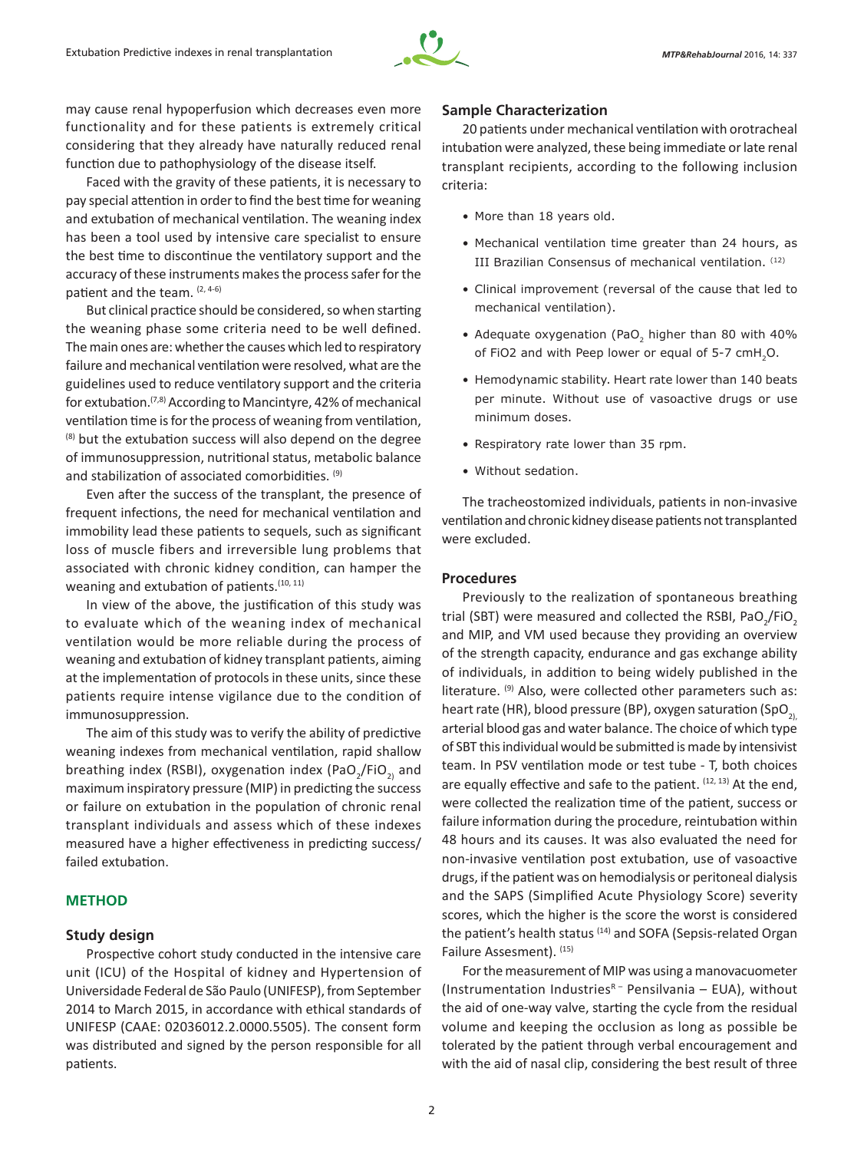

may cause renal hypoperfusion which decreases even more functionality and for these patients is extremely critical considering that they already have naturally reduced renal function due to pathophysiology of the disease itself.

Faced with the gravity of these patients, it is necessary to pay special attention in order to find the best time for weaning and extubation of mechanical ventilation. The weaning index has been a tool used by intensive care specialist to ensure the best time to discontinue the ventilatory support and the accuracy of these instruments makes the process safer for the patient and the team. (2, 4-6)

But clinical practice should be considered, so when starting the weaning phase some criteria need to be well defined. The main ones are: whether the causes which led to respiratory failure and mechanical ventilation were resolved, what are the guidelines used to reduce ventilatory support and the criteria for extubation.(7,8) According to Mancintyre, 42% of mechanical ventilation time is for the process of weaning from ventilation, (8) but the extubation success will also depend on the degree of immunosuppression, nutritional status, metabolic balance and stabilization of associated comorbidities. (9)

Even after the success of the transplant, the presence of frequent infections, the need for mechanical ventilation and immobility lead these patients to sequels, such as significant loss of muscle fibers and irreversible lung problems that associated with chronic kidney condition, can hamper the weaning and extubation of patients.<sup>(10, 11)</sup>

In view of the above, the justification of this study was to evaluate which of the weaning index of mechanical ventilation would be more reliable during the process of weaning and extubation of kidney transplant patients, aiming at the implementation of protocols in these units, since these patients require intense vigilance due to the condition of immunosuppression.

The aim of this study was to verify the ability of predictive weaning indexes from mechanical ventilation, rapid shallow breathing index (RSBI), oxygenation index (PaO<sub>2</sub>/FiO<sub>2)</sub> and maximum inspiratory pressure (MIP) in predicting the success or failure on extubation in the population of chronic renal transplant individuals and assess which of these indexes measured have a higher effectiveness in predicting success/ failed extubation.

## **METHOD**

#### **Study design**

Prospective cohort study conducted in the intensive care unit (ICU) of the Hospital of kidney and Hypertension of Universidade Federal de São Paulo (UNIFESP), from September 2014 to March 2015, in accordance with ethical standards of UNIFESP (CAAE: 02036012.2.0000.5505). The consent form was distributed and signed by the person responsible for all patients.

#### **Sample Characterization**

20 patients under mechanical ventilation with orotracheal intubation were analyzed, these being immediate or late renal transplant recipients, according to the following inclusion criteria:

- More than 18 years old.
- Mechanical ventilation time greater than 24 hours, as III Brazilian Consensus of mechanical ventilation. (12)
- • Clinical improvement (reversal of the cause that led to mechanical ventilation).
- Adequate oxygenation (PaO<sub>2</sub> higher than 80 with 40% of FiO2 and with Peep lower or equal of 5-7 cmH<sub>2</sub>O.
- Hemodynamic stability. Heart rate lower than 140 beats per minute. Without use of vasoactive drugs or use minimum doses.
- Respiratory rate lower than 35 rpm.
- • Without sedation.

The tracheostomized individuals, patients in non‑invasive ventilation and chronic kidney disease patients not transplanted were excluded.

### **Procedures**

Previously to the realization of spontaneous breathing trial (SBT) were measured and collected the RSBI, PaO<sub>2</sub>/FiO<sub>2</sub> and MIP, and VM used because they providing an overview of the strength capacity, endurance and gas exchange ability of individuals, in addition to being widely published in the literature. (9) Also, were collected other parameters such as: heart rate (HR), blood pressure (BP), oxygen saturation (SpO<sub>2)</sub> arterial blood gas and water balance. The choice of which type of SBT this individual would be submitted is made by intensivist team. In PSV ventilation mode or test tube - T, both choices are equally effective and safe to the patient. (12, 13) At the end, were collected the realization time of the patient, success or failure information during the procedure, reintubation within 48 hours and its causes. It was also evaluated the need for non-invasive ventilation post extubation, use of vasoactive drugs, if the patient was on hemodialysis or peritoneal dialysis and the SAPS (Simplified Acute Physiology Score) severity scores, which the higher is the score the worst is considered the patient's health status (14) and SOFA (Sepsis-related Organ Failure Assesment). (15)

For the measurement of MIP was using a manovacuometer (Instrumentation Industries $R -$  Pensilvania – EUA), without the aid of one-way valve, starting the cycle from the residual volume and keeping the occlusion as long as possible be tolerated by the patient through verbal encouragement and with the aid of nasal clip, considering the best result of three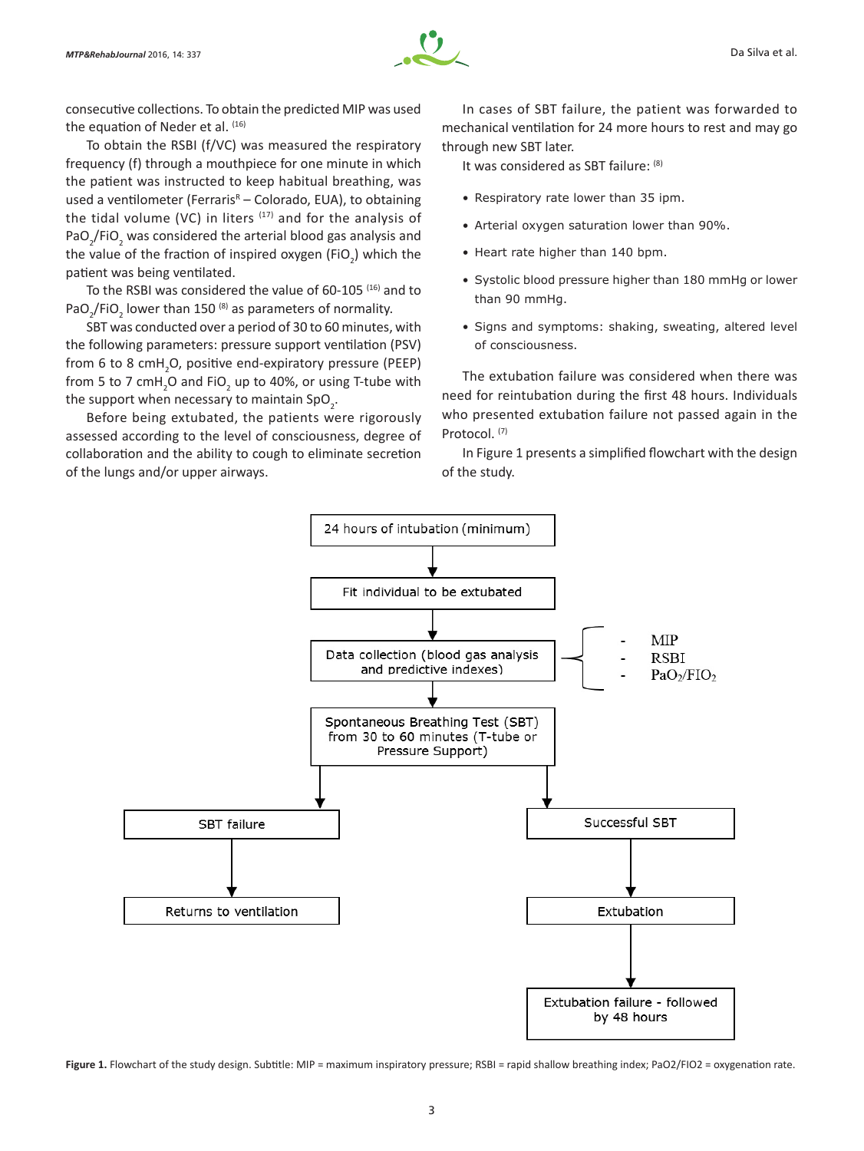

consecutive collections. To obtain the predicted MIP was used the equation of Neder et al. (16)

To obtain the RSBI (f/VC) was measured the respiratory frequency (f) through a mouthpiece for one minute in which the patient was instructed to keep habitual breathing, was used a ventilometer (Ferraris<sup>R</sup> – Colorado, EUA), to obtaining the tidal volume (VC) in liters  $(17)$  and for the analysis of PaO<sub>2</sub>/FiO<sub>2</sub> was considered the arterial blood gas analysis and the value of the fraction of inspired oxygen (FiO<sub>2</sub>) which the patient was being ventilated.

To the RSBI was considered the value of 60-105 (16) and to PaO<sub>2</sub>/FiO<sub>2</sub> lower than 150<sup>(8)</sup> as parameters of normality.

SBT was conducted over a period of 30 to 60 minutes, with the following parameters: pressure support ventilation (PSV) from 6 to 8 cmH<sub>2</sub>O, positive end-expiratory pressure (PEEP) from 5 to 7 cmH<sub>2</sub>O and FiO<sub>2</sub> up to 40%, or using T-tube with the support when necessary to maintain SpO<sub>2</sub>.

Before being extubated, the patients were rigorously assessed according to the level of consciousness, degree of collaboration and the ability to cough to eliminate secretion of the lungs and/or upper airways.

In cases of SBT failure, the patient was forwarded to mechanical ventilation for 24 more hours to rest and may go through new SBT later.

It was considered as SBT failure: (8)

- Respiratory rate lower than 35 ipm.
- Arterial oxygen saturation lower than 90%.
- Heart rate higher than 140 bpm.
- Systolic blood pressure higher than 180 mmHg or lower than 90 mmHg.
- • Signs and symptoms: shaking, sweating, altered level of consciousness.

The extubation failure was considered when there was need for reintubation during the first 48 hours. Individuals who presented extubation failure not passed again in the Protocol. (7)

In Figure 1 presents a simplified flowchart with the design of the study.



Figure 1. Flowchart of the study design. Subtitle: MIP = maximum inspiratory pressure; RSBI = rapid shallow breathing index; PaO2/FIO2 = oxygenation rate.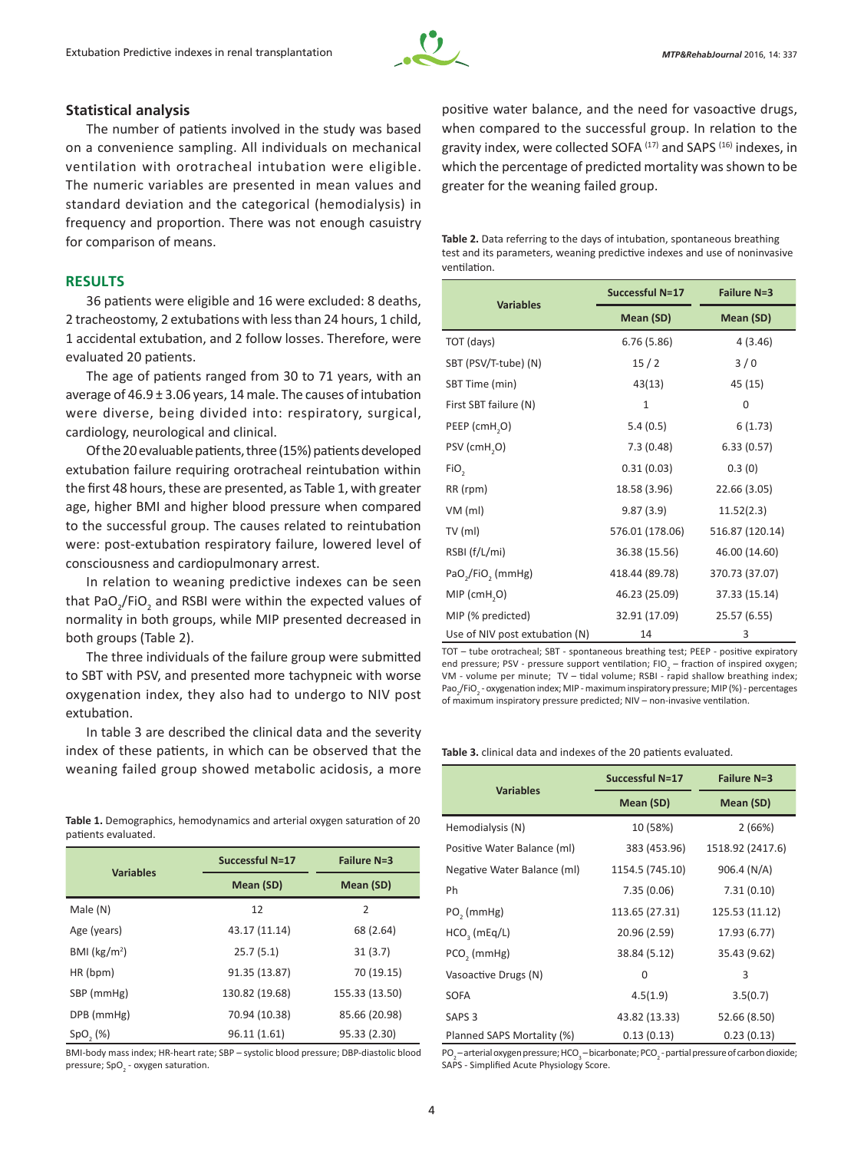

#### **Statistical analysis**

The number of patients involved in the study was based on a convenience sampling. All individuals on mechanical ventilation with orotracheal intubation were eligible. The numeric variables are presented in mean values and standard deviation and the categorical (hemodialysis) in frequency and proportion. There was not enough casuistry for comparison of means.

## **RESULTS**

36 patients were eligible and 16 were excluded: 8 deaths, 2 tracheostomy, 2 extubations with less than 24 hours, 1 child, 1 accidental extubation, and 2 follow losses. Therefore, were evaluated 20 patients.

The age of patients ranged from 30 to 71 years, with an average of 46.9 ± 3.06 years, 14 male. The causes of intubation were diverse, being divided into: respiratory, surgical, cardiology, neurological and clinical.

Of the 20 evaluable patients, three (15%) patients developed extubation failure requiring orotracheal reintubation within the first 48 hours, these are presented, as Table 1, with greater age, higher BMI and higher blood pressure when compared to the successful group. The causes related to reintubation were: post-extubation respiratory failure, lowered level of consciousness and cardiopulmonary arrest.

In relation to weaning predictive indexes can be seen that PaO<sub>2</sub>/FiO<sub>2</sub> and RSBI were within the expected values of normality in both groups, while MIP presented decreased in both groups (Table 2).

The three individuals of the failure group were submitted to SBT with PSV, and presented more tachypneic with worse oxygenation index, they also had to undergo to NIV post extubation.

In table 3 are described the clinical data and the severity index of these patients, in which can be observed that the weaning failed group showed metabolic acidosis, a more

**Table 1.** Demographics, hemodynamics and arterial oxygen saturation of 20 patients evaluated.

| <b>Variables</b>        | Successful N=17 | <b>Failure N=3</b> |
|-------------------------|-----------------|--------------------|
|                         | Mean (SD)       | Mean (SD)          |
| Male (N)                | 12              | $\overline{2}$     |
| Age (years)             | 43.17 (11.14)   | 68 (2.64)          |
| BMI ( $\text{kg/m}^2$ ) | 25.7(5.1)       | 31(3.7)            |
| HR (bpm)                | 91.35 (13.87)   | 70 (19.15)         |
| SBP (mmHg)              | 130.82 (19.68)  | 155.33 (13.50)     |
| DPB (mmHg)              | 70.94 (10.38)   | 85.66 (20.98)      |
| SpO, (%)                | 96.11 (1.61)    | 95.33 (2.30)       |

BMI-body mass index; HR-heart rate; SBP – systolic blood pressure; DBP-diastolic blood pressure; SpO<sub>2</sub> - oxygen saturation.

positive water balance, and the need for vasoactive drugs, when compared to the successful group. In relation to the gravity index, were collected SOFA<sup>(17)</sup> and SAPS<sup>(16)</sup> indexes, in which the percentage of predicted mortality was shown to be greater for the weaning failed group.

| Table 2. Data referring to the days of intubation, spontaneous breathing   |
|----------------------------------------------------------------------------|
| test and its parameters, weaning predictive indexes and use of noninvasive |
| ventilation.                                                               |

| <b>Variables</b>                          | <b>Successful N=17</b> | <b>Failure N=3</b> |
|-------------------------------------------|------------------------|--------------------|
|                                           | Mean (SD)              | Mean (SD)          |
| TOT (days)                                | 6.76(5.86)             | 4(3.46)            |
| SBT (PSV/T-tube) (N)                      | 15/2                   | 3/0                |
| SBT Time (min)                            | 43(13)                 | 45 (15)            |
| First SBT failure (N)                     | $\mathbf{1}$           | $\mathbf 0$        |
| PEEP (cmH,O)                              | 5.4(0.5)               | 6(1.73)            |
| PSV (cmH <sub>2</sub> O)                  | 7.3(0.48)              | 6.33(0.57)         |
| FiO <sub>2</sub>                          | 0.31(0.03)             | 0.3(0)             |
| RR (rpm)                                  | 18.58 (3.96)           | 22.66 (3.05)       |
| $VM$ (ml)                                 | 9.87(3.9)              | 11.52(2.3)         |
| $TV$ (ml)                                 | 576.01 (178.06)        | 516.87 (120.14)    |
| RSBI (f/L/mi)                             | 36.38 (15.56)          | 46.00 (14.60)      |
| PaO <sub>2</sub> /FiO <sub>2</sub> (mmHg) | 418.44 (89.78)         | 370.73 (37.07)     |
| MIP (cmH <sub>2</sub> O)                  | 46.23 (25.09)          | 37.33 (15.14)      |
| MIP (% predicted)                         | 32.91 (17.09)          | 25.57 (6.55)       |
| Use of NIV post extubation (N)            | 14                     | 3                  |

TOT – tube orotracheal; SBT - spontaneous breathing test; PEEP - positive expiratory end pressure; PSV - pressure support ventilation;  $FIO_2$  – fraction of inspired oxygen; VM - volume per minute; TV – tidal volume; RSBI - rapid shallow breathing index; Pao<sub>2</sub>/FiO<sub>2</sub> - oxygenation index; MIP - maximum inspiratory pressure; MIP (%) - percentages of maximum inspiratory pressure predicted; NIV – non-invasive ventilation.

#### **Table 3.** clinical data and indexes of the 20 patients evaluated.

| <b>Variables</b>            | <b>Successful N=17</b> | Failure N=3      |
|-----------------------------|------------------------|------------------|
|                             | Mean (SD)              | Mean (SD)        |
| Hemodialysis (N)            | 10 (58%)               | 2(66%)           |
| Positive Water Balance (ml) | 383 (453.96)           | 1518.92 (2417.6) |
| Negative Water Balance (ml) | 1154.5 (745.10)        | 906.4 (N/A)      |
| Ph                          | 7.35(0.06)             | 7.31(0.10)       |
| PO, (mmHg)                  | 113.65 (27.31)         | 125.53 (11.12)   |
| $HCO$ <sub>,</sub> (mEq/L)  | 20.96 (2.59)           | 17.93 (6.77)     |
| PCO <sub>2</sub> (mmHg)     | 38.84 (5.12)           | 35.43 (9.62)     |
| Vasoactive Drugs (N)        | 0                      | 3                |
| <b>SOFA</b>                 | 4.5(1.9)               | 3.5(0.7)         |
| SAPS <sub>3</sub>           | 43.82 (13.33)          | 52.66 (8.50)     |
| Planned SAPS Mortality (%)  | 0.13(0.13)             | 0.23(0.13)       |

PO<sub>2</sub> – arterial oxygen pressure; HCO<sub>3</sub> – bicarbonate; PCO<sub>2</sub> - partial pressure of carbon dioxide; SAPS - Simplified Acute Physiology Score.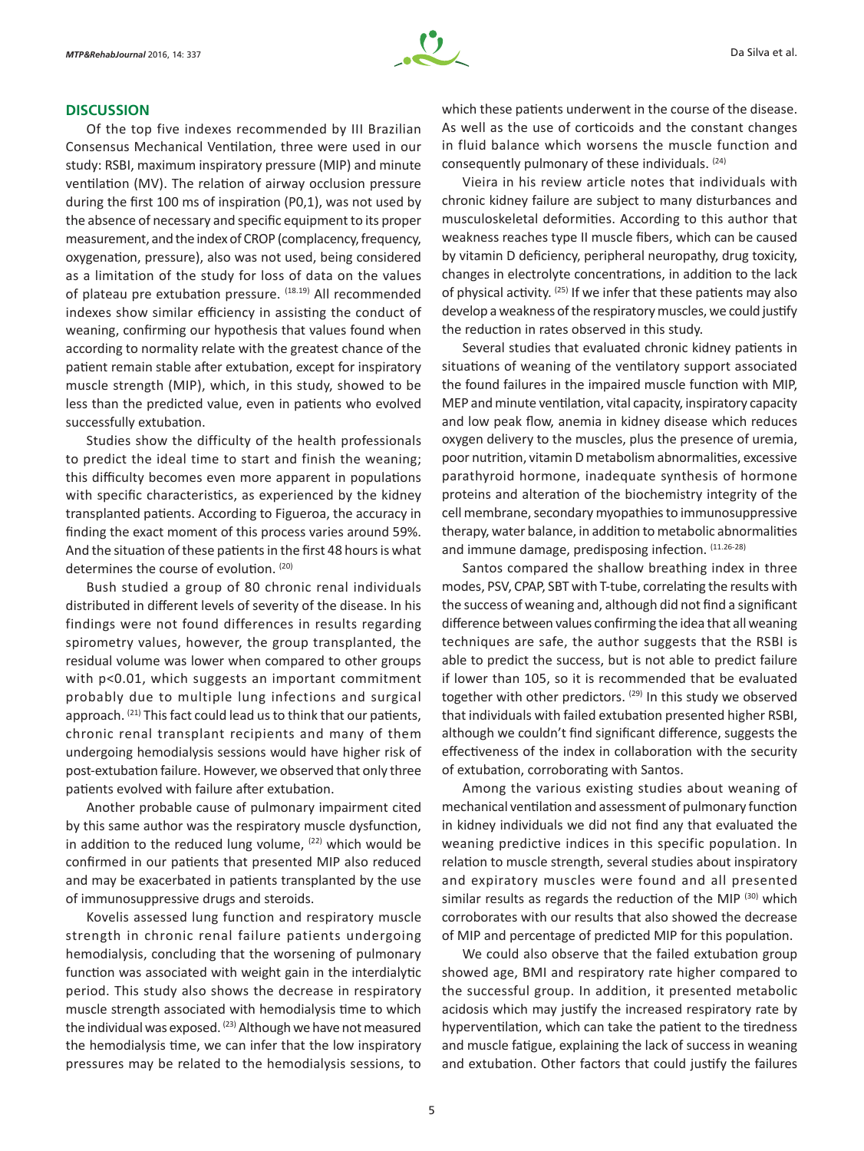#### **DISCUSSION**

Of the top five indexes recommended by III Brazilian Consensus Mechanical Ventilation, three were used in our study: RSBI, maximum inspiratory pressure (MIP) and minute ventilation (MV). The relation of airway occlusion pressure during the first 100 ms of inspiration (P0,1), was not used by the absence of necessary and specific equipment to its proper measurement, and the index of CROP (complacency, frequency, oxygenation, pressure), also was not used, being considered as a limitation of the study for loss of data on the values of plateau pre extubation pressure. (18.19) All recommended indexes show similar efficiency in assisting the conduct of weaning, confirming our hypothesis that values found when according to normality relate with the greatest chance of the patient remain stable after extubation, except for inspiratory muscle strength (MIP), which, in this study, showed to be less than the predicted value, even in patients who evolved successfully extubation.

Studies show the difficulty of the health professionals to predict the ideal time to start and finish the weaning; this difficulty becomes even more apparent in populations with specific characteristics, as experienced by the kidney transplanted patients. According to Figueroa, the accuracy in finding the exact moment of this process varies around 59%. And the situation of these patients in the first 48 hours is what determines the course of evolution. (20)

Bush studied a group of 80 chronic renal individuals distributed in different levels of severity of the disease. In his findings were not found differences in results regarding spirometry values, however, the group transplanted, the residual volume was lower when compared to other groups with  $p<0.01$ , which suggests an important commitment probably due to multiple lung infections and surgical approach. <sup>(21)</sup> This fact could lead us to think that our patients, chronic renal transplant recipients and many of them undergoing hemodialysis sessions would have higher risk of post-extubation failure. However, we observed that only three patients evolved with failure after extubation.

Another probable cause of pulmonary impairment cited by this same author was the respiratory muscle dysfunction, in addition to the reduced lung volume,  $(22)$  which would be confirmed in our patients that presented MIP also reduced and may be exacerbated in patients transplanted by the use of immunosuppressive drugs and steroids.

Kovelis assessed lung function and respiratory muscle strength in chronic renal failure patients undergoing hemodialysis, concluding that the worsening of pulmonary function was associated with weight gain in the interdialytic period. This study also shows the decrease in respiratory muscle strength associated with hemodialysis time to which the individual was exposed. <sup>(23)</sup> Although we have not measured the hemodialysis time, we can infer that the low inspiratory pressures may be related to the hemodialysis sessions, to which these patients underwent in the course of the disease. As well as the use of corticoids and the constant changes in fluid balance which worsens the muscle function and consequently pulmonary of these individuals. (24)

Vieira in his review article notes that individuals with chronic kidney failure are subject to many disturbances and musculoskeletal deformities. According to this author that weakness reaches type II muscle fibers, which can be caused by vitamin D deficiency, peripheral neuropathy, drug toxicity, changes in electrolyte concentrations, in addition to the lack of physical activity. (25) If we infer that these patients may also develop a weakness of the respiratory muscles, we could justify the reduction in rates observed in this study.

Several studies that evaluated chronic kidney patients in situations of weaning of the ventilatory support associated the found failures in the impaired muscle function with MIP, MEP and minute ventilation, vital capacity, inspiratory capacity and low peak flow, anemia in kidney disease which reduces oxygen delivery to the muscles, plus the presence of uremia, poor nutrition, vitamin D metabolism abnormalities, excessive parathyroid hormone, inadequate synthesis of hormone proteins and alteration of the biochemistry integrity of the cell membrane, secondary myopathies to immunosuppressive therapy, water balance, in addition to metabolic abnormalities and immune damage, predisposing infection. (11.26-28)

Santos compared the shallow breathing index in three modes, PSV, CPAP, SBT with T-tube, correlating the results with the success of weaning and, although did not find a significant difference between values confirming the idea that all weaning techniques are safe, the author suggests that the RSBI is able to predict the success, but is not able to predict failure if lower than 105, so it is recommended that be evaluated together with other predictors. (29) In this study we observed that individuals with failed extubation presented higher RSBI, although we couldn't find significant difference, suggests the effectiveness of the index in collaboration with the security of extubation, corroborating with Santos.

Among the various existing studies about weaning of mechanical ventilation and assessment of pulmonary function in kidney individuals we did not find any that evaluated the weaning predictive indices in this specific population. In relation to muscle strength, several studies about inspiratory and expiratory muscles were found and all presented similar results as regards the reduction of the MIP (30) which corroborates with our results that also showed the decrease of MIP and percentage of predicted MIP for this population.

We could also observe that the failed extubation group showed age, BMI and respiratory rate higher compared to the successful group. In addition, it presented metabolic acidosis which may justify the increased respiratory rate by hyperventilation, which can take the patient to the tiredness and muscle fatigue, explaining the lack of success in weaning and extubation. Other factors that could justify the failures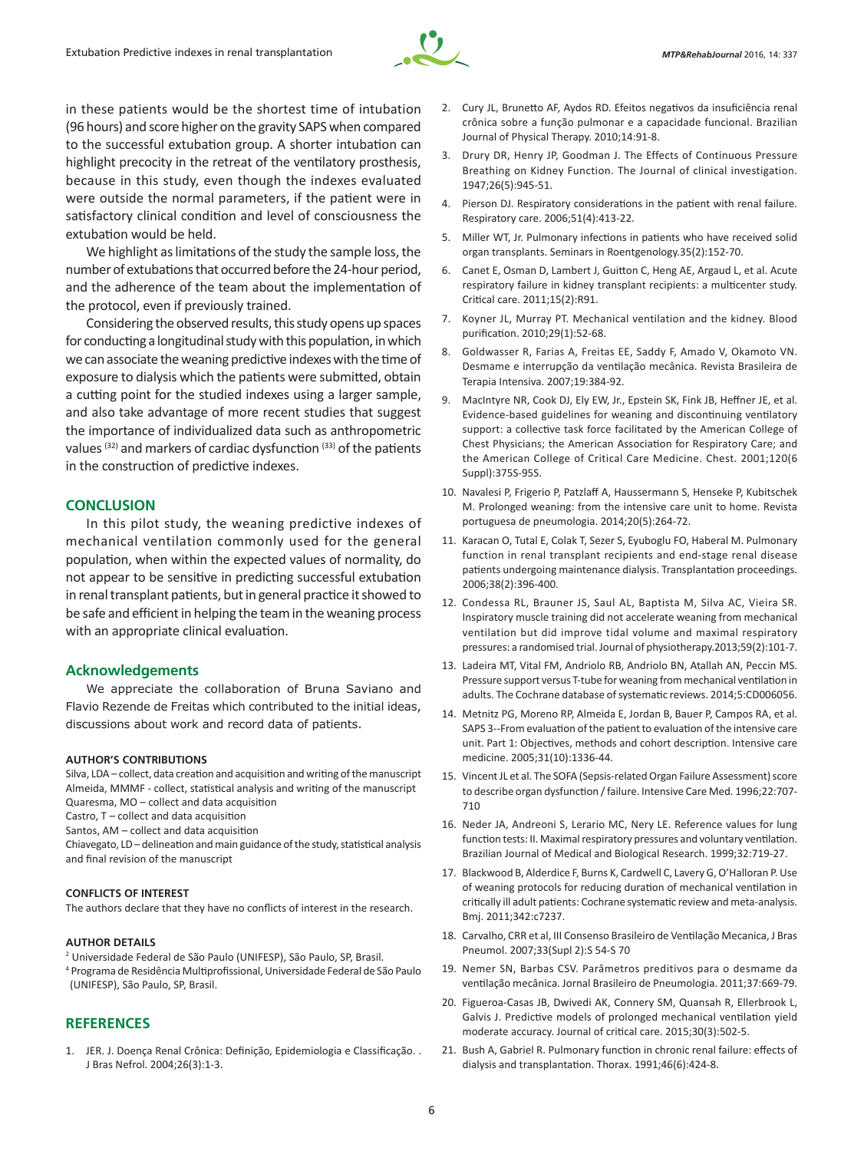

in these patients would be the shortest time of intubation (96 hours) and score higher on the gravity SAPS when compared to the successful extubation group. A shorter intubation can highlight precocity in the retreat of the ventilatory prosthesis, because in this study, even though the indexes evaluated were outside the normal parameters, if the patient were in satisfactory clinical condition and level of consciousness the extubation would be held.

We highlight as limitations of the study the sample loss, the number of extubations that occurred before the 24-hour period, and the adherence of the team about the implementation of the protocol, even if previously trained.

Considering the observed results, this study opens up spaces for conducting a longitudinal study with this population, in which we can associate the weaning predictive indexes with the time of exposure to dialysis which the patients were submitted, obtain a cutting point for the studied indexes using a larger sample, and also take advantage of more recent studies that suggest the importance of individualized data such as anthropometric values (32) and markers of cardiac dysfunction (33) of the patients in the construction of predictive indexes.

## **CONCLUSION**

In this pilot study, the weaning predictive indexes of mechanical ventilation commonly used for the general population, when within the expected values of normality, do not appear to be sensitive in predicting successful extubation in renal transplant patients, but in general practice it showed to be safe and efficient in helping the team in the weaning process with an appropriate clinical evaluation.

#### **Acknowledgements**

We appreciate the collaboration of Bruna Saviano and Flavio Rezende de Freitas which contributed to the initial ideas, discussions about work and record data of patients.

#### **AUTHOR'S CONTRIBUTIONS**

Silva, LDA – collect, data creation and acquisition and writing of the manuscript Almeida, MMMF - collect, statistical analysis and writing of the manuscript Quaresma, MO – collect and data acquisition

Castro, T – collect and data acquisition

Santos, AM – collect and data acquisition

Chiavegato, LD – delineation and main guidance of the study, statistical analysis and final revision of the manuscript

#### **CONFLICTS OF INTEREST**

The authors declare that they have no conflicts of interest in the research.

#### **AUTHOR DETAILS**

2 Universidade Federal de São Paulo (UNIFESP), São Paulo, SP, Brasil. 4 Programa de Residência Multiprofissional, Universidade Federal de São Paulo (UNIFESP), São Paulo, SP, Brasil.

### **REFERENCES**

1. JER. J. Doença Renal Crônica: Definição, Epidemiologia e Classificação. . J Bras Nefrol. 2004;26(3):1-3.

- 2. Cury JL, Brunetto AF, Aydos RD. Efeitos negativos da insuficiência renal crônica sobre a função pulmonar e a capacidade funcional. Brazilian Journal of Physical Therapy. 2010;14:91-8.
- 3. Drury DR, Henry JP, Goodman J. The Effects of Continuous Pressure Breathing on Kidney Function. The Journal of clinical investigation. 1947;26(5):945-51.
- 4. Pierson DJ. Respiratory considerations in the patient with renal failure. Respiratory care. 2006;51(4):413-22.
- 5. Miller WT, Jr. Pulmonary infections in patients who have received solid organ transplants. Seminars in Roentgenology.35(2):152-70.
- 6. Canet E, Osman D, Lambert J, Guitton C, Heng AE, Argaud L, et al. Acute respiratory failure in kidney transplant recipients: a multicenter study. Critical care. 2011;15(2):R91.
- 7. Koyner JL, Murray PT. Mechanical ventilation and the kidney. Blood purification. 2010;29(1):52-68.
- 8. Goldwasser R, Farias A, Freitas EE, Saddy F, Amado V, Okamoto VN. Desmame e interrupção da ventilação mecânica. Revista Brasileira de Terapia Intensiva. 2007;19:384-92.
- 9. MacIntyre NR, Cook DJ, Ely EW, Jr., Epstein SK, Fink JB, Heffner JE, et al. Evidence-based guidelines for weaning and discontinuing ventilatory support: a collective task force facilitated by the American College of Chest Physicians; the American Association for Respiratory Care; and the American College of Critical Care Medicine. Chest. 2001;120(6 Suppl):375S-95S.
- 10. Navalesi P, Frigerio P, Patzlaff A, Haussermann S, Henseke P, Kubitschek M. Prolonged weaning: from the intensive care unit to home. Revista portuguesa de pneumologia. 2014;20(5):264-72.
- 11. Karacan O, Tutal E, Colak T, Sezer S, Eyuboglu FO, Haberal M. Pulmonary function in renal transplant recipients and end-stage renal disease patients undergoing maintenance dialysis. Transplantation proceedings. 2006;38(2):396-400.
- 12. Condessa RL, Brauner JS, Saul AL, Baptista M, Silva AC, Vieira SR. Inspiratory muscle training did not accelerate weaning from mechanical ventilation but did improve tidal volume and maximal respiratory pressures: a randomised trial. Journal of physiotherapy.2013;59(2):101-7.
- 13. Ladeira MT, Vital FM, Andriolo RB, Andriolo BN, Atallah AN, Peccin MS. Pressure support versus T-tube for weaning from mechanical ventilation in adults. The Cochrane database of systematic reviews. 2014;5:CD006056.
- 14. Metnitz PG, Moreno RP, Almeida E, Jordan B, Bauer P, Campos RA, et al. SAPS 3--From evaluation of the patient to evaluation of the intensive care unit. Part 1: Objectives, methods and cohort description. Intensive care medicine. 2005;31(10):1336-44.
- 15. Vincent JL et al. The SOFA (Sepsis-related Organ Failure Assessment) score to describe organ dysfunction / failure. Intensive Care Med. 1996;22:707-710
- 16. Neder JA, Andreoni S, Lerario MC, Nery LE. Reference values for lung function tests: II. Maximal respiratory pressures and voluntary ventilation. Brazilian Journal of Medical and Biological Research. 1999;32:719-27.
- 17. Blackwood B, Alderdice F, Burns K, Cardwell C, Lavery G, O'Halloran P. Use of weaning protocols for reducing duration of mechanical ventilation in critically ill adult patients: Cochrane systematic review and meta-analysis. Bmj. 2011;342:c7237.
- 18. Carvalho, CRR et al, III Consenso Brasileiro de Ventilação Mecanica, J Bras Pneumol. 2007;33(Supl 2):S 54-S 70
- 19. Nemer SN, Barbas CSV. Parâmetros preditivos para o desmame da ventilação mecânica. Jornal Brasileiro de Pneumologia. 2011;37:669-79.
- 20. Figueroa-Casas JB, Dwivedi AK, Connery SM, Quansah R, Ellerbrook L, Galvis J. Predictive models of prolonged mechanical ventilation yield moderate accuracy. Journal of critical care. 2015;30(3):502-5.
- 21. Bush A, Gabriel R. Pulmonary function in chronic renal failure: effects of dialysis and transplantation. Thorax. 1991;46(6):424-8.